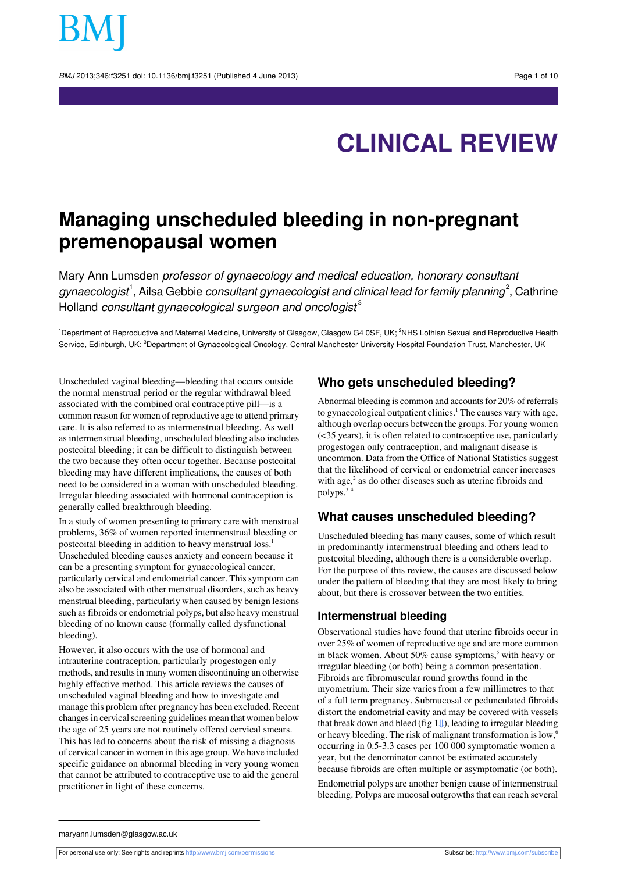BMJ 2013:346:f3251 doi: 10.1136/bmi.f3251 (Published 4 June 2013) Page 1 of 10

# **CLINICAL REVIEW**

## **Managing unscheduled bleeding in non-pregnant premenopausal women**

Mary Ann Lumsden professor of gynaecology and medical education, honorary consultant gynaecologist $^{\rm l}$ , Ailsa Gebbie consultant gynaecologist and clinical lead for family planning $^{\rm 2}$ , Cathrine Holland consultant gynaecological surgeon and oncologist<sup>3</sup>

<sup>1</sup>Department of Reproductive and Maternal Medicine, University of Glasgow, Glasgow G4 0SF, UK; <sup>2</sup>NHS Lothian Sexual and Reproductive Health Service, Edinburgh, UK; <sup>3</sup>Department of Gynaecological Oncology, Central Manchester University Hospital Foundation Trust, Manchester, UK

Unscheduled vaginal bleeding—bleeding that occurs outside the normal menstrual period or the regular withdrawal bleed associated with the combined oral contraceptive pill—is a common reason for women of reproductive age to attend primary care. It is also referred to as intermenstrual bleeding. As well as intermenstrual bleeding, unscheduled bleeding also includes postcoital bleeding; it can be difficult to distinguish between the two because they often occur together. Because postcoital bleeding may have different implications, the causes of both need to be considered in a woman with unscheduled bleeding. Irregular bleeding associated with hormonal contraception is generally called breakthrough bleeding.

In a study of women presenting to primary care with menstrual problems, 36% of women reported intermenstrual bleeding or postcoital bleeding in addition to heavy menstrual loss.<sup>1</sup> Unscheduled bleeding causes anxiety and concern because it can be a presenting symptom for gynaecological cancer, particularly cervical and endometrial cancer. This symptom can also be associated with other menstrual disorders, such as heavy menstrual bleeding, particularly when caused by benign lesions such asfibroids or endometrial polyps, but also heavy menstrual bleeding of no known cause (formally called dysfunctional bleeding).

However, it also occurs with the use of hormonal and intrauterine contraception, particularly progestogen only methods, and results in many women discontinuing an otherwise highly effective method. This article reviews the causes of unscheduled vaginal bleeding and how to investigate and manage this problem after pregnancy has been excluded. Recent changes in cervical screening guidelines mean that women below the age of 25 years are not routinely offered cervical smears. This has led to concerns about the risk of missing a diagnosis of cervical cancer in women in this age group. We have included specific guidance on abnormal bleeding in very young women that cannot be attributed to contraceptive use to aid the general practitioner in light of these concerns.

## **Who gets unscheduled bleeding?**

Abnormal bleeding is common and accounts for 20% of referrals to gynaecological outpatient clinics.<sup>1</sup> The causes vary with age, although overlap occurs between the groups. For young women (<35 years), it is often related to contraceptive use, particularly progestogen only contraception, and malignant disease is uncommon. Data from the Office of National Statistics suggest that the likelihood of cervical or endometrial cancer increases with age,<sup>2</sup> as do other diseases such as uterine fibroids and polyps.<sup>3</sup> <sup>4</sup>

## **What causes unscheduled bleeding?**

Unscheduled bleeding has many causes, some of which result in predominantly intermenstrual bleeding and others lead to postcoital bleeding, although there is a considerable overlap. For the purpose of this review, the causes are discussed below under the pattern of bleeding that they are most likely to bring about, but there is crossover between the two entities.

## **Intermenstrual bleeding**

Observational studies have found that uterine fibroids occur in over 25% of women of reproductive age and are more common in black women. About 50% cause symptoms,<sup>5</sup> with heavy or irregular bleeding (or both) being a common presentation. Fibroids are fibromuscular round growths found in the myometrium. Their size varies from a few millimetres to that of a full term pregnancy. Submucosal or pedunculated fibroids distort the endometrial cavity and may be covered with vessels that break down and bleed (fig  $1 \downarrow$ ), leading to irregular bleeding or heavy bleeding. The risk of malignant transformation is  $\text{low},^6$ occurring in 0.5-3.3 cases per 100 000 symptomatic women a year, but the denominator cannot be estimated accurately because fibroids are often multiple or asymptomatic (or both).

Endometrial polyps are another benign cause of intermenstrual bleeding. Polyps are mucosal outgrowths that can reach several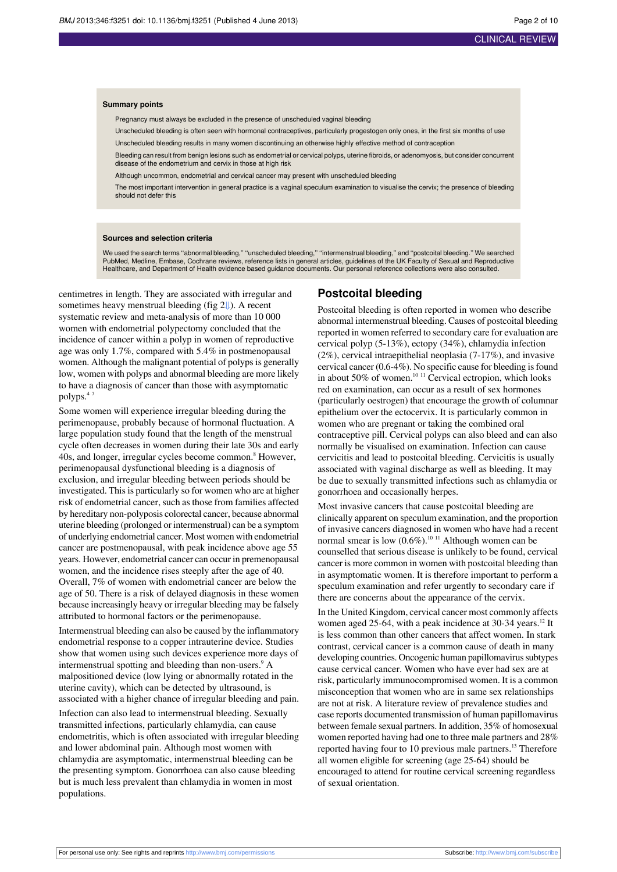#### **Summary points**

Pregnancy must always be excluded in the presence of unscheduled vaginal bleeding

Unscheduled bleeding is often seen with hormonal contraceptives, particularly progestogen only ones, in the first six months of use

Unscheduled bleeding results in many women discontinuing an otherwise highly effective method of contraception

Bleeding can result from benign lesions such as endometrial or cervical polyps, uterine fibroids, or adenomyosis, but consider concurrent disease of the endometrium and cervix in those at high risk

Although uncommon, endometrial and cervical cancer may present with unscheduled bleeding

The most important intervention in general practice is a vaginal speculum examination to visualise the cervix; the presence of bleeding should not defer this

#### **Sources and selection criteria**

We used the search terms ''abnormal bleeding,'' ''unscheduled bleeding,'' ''intermenstrual bleeding,'' and ''postcoital bleeding.'' We searched PubMed, Medline, Embase, Cochrane reviews, reference lists in general articles, guidelines of the UK Faculty of Sexual and Reproductive Healthcare, and Department of Health evidence based guidance documents. Our personal reference collections were also consulted.

centimetres in length. They are associated with irregular and sometimes heavy menstrual bleeding (fig [2⇓](#page-8-1)). A recent systematic review and meta-analysis of more than 10 000 women with endometrial polypectomy concluded that the incidence of cancer within a polyp in women of reproductive age was only 1.7%, compared with 5.4% in postmenopausal women. Although the malignant potential of polyps is generally low, women with polyps and abnormal bleeding are more likely to have a diagnosis of cancer than those with asymptomatic polyps.<sup>4</sup> <sup>7</sup>

Some women will experience irregular bleeding during the perimenopause, probably because of hormonal fluctuation. A large population study found that the length of the menstrual cycle often decreases in women during their late 30s and early 40s, and longer, irregular cycles become common.<sup>8</sup> However, perimenopausal dysfunctional bleeding is a diagnosis of exclusion, and irregular bleeding between periods should be investigated. This is particularly so for women who are at higher risk of endometrial cancer, such as those from families affected by hereditary non-polyposis colorectal cancer, because abnormal uterine bleeding (prolonged or intermenstrual) can be a symptom of underlying endometrial cancer. Most women with endometrial cancer are postmenopausal, with peak incidence above age 55 years. However, endometrial cancer can occur in premenopausal women, and the incidence rises steeply after the age of 40. Overall, 7% of women with endometrial cancer are below the age of 50. There is a risk of delayed diagnosis in these women because increasingly heavy or irregular bleeding may be falsely attributed to hormonal factors or the perimenopause.

Intermenstrual bleeding can also be caused by the inflammatory endometrial response to a copper intrauterine device. Studies show that women using such devices experience more days of intermenstrual spotting and bleeding than non-users.<sup>9</sup> A malpositioned device (low lying or abnormally rotated in the uterine cavity), which can be detected by ultrasound, is associated with a higher chance of irregular bleeding and pain.

Infection can also lead to intermenstrual bleeding. Sexually transmitted infections, particularly chlamydia, can cause endometritis, which is often associated with irregular bleeding and lower abdominal pain. Although most women with chlamydia are asymptomatic, intermenstrual bleeding can be the presenting symptom. Gonorrhoea can also cause bleeding but is much less prevalent than chlamydia in women in most populations.

#### **Postcoital bleeding**

Postcoital bleeding is often reported in women who describe abnormal intermenstrual bleeding. Causes of postcoital bleeding reported in women referred to secondary care for evaluation are cervical polyp (5-13%), ectopy (34%), chlamydia infection (2%), cervical intraepithelial neoplasia (7-17%), and invasive cervical cancer  $(0.6-4\%)$ . No specific cause for bleeding is found in about 50% of women.<sup>10 11</sup> Cervical ectropion, which looks red on examination, can occur as a result of sex hormones (particularly oestrogen) that encourage the growth of columnar epithelium over the ectocervix. It is particularly common in women who are pregnant or taking the combined oral contraceptive pill. Cervical polyps can also bleed and can also normally be visualised on examination. Infection can cause cervicitis and lead to postcoital bleeding. Cervicitis is usually associated with vaginal discharge as well as bleeding. It may be due to sexually transmitted infections such as chlamydia or gonorrhoea and occasionally herpes.

Most invasive cancers that cause postcoital bleeding are clinically apparent on speculum examination, and the proportion of invasive cancers diagnosed in women who have had a recent normal smear is low  $(0.6\%)$ <sup>10 11</sup> Although women can be counselled that serious disease is unlikely to be found, cervical cancer is more common in women with postcoital bleeding than in asymptomatic women. It is therefore important to perform a speculum examination and refer urgently to secondary care if there are concerns about the appearance of the cervix.

In the United Kingdom, cervical cancer most commonly affects women aged 25-64, with a peak incidence at  $30-34$  years.<sup>12</sup> It is less common than other cancers that affect women. In stark contrast, cervical cancer is a common cause of death in many developing countries. Oncogenic human papillomavirus subtypes cause cervical cancer. Women who have ever had sex are at risk, particularly immunocompromised women. It is a common misconception that women who are in same sex relationships are not at risk. A literature review of prevalence studies and case reports documented transmission of human papillomavirus between female sexual partners. In addition, 35% of homosexual women reported having had one to three male partners and 28% reported having four to 10 previous male partners.<sup>13</sup> Therefore all women eligible for screening (age 25-64) should be encouraged to attend for routine cervical screening regardless of sexual orientation.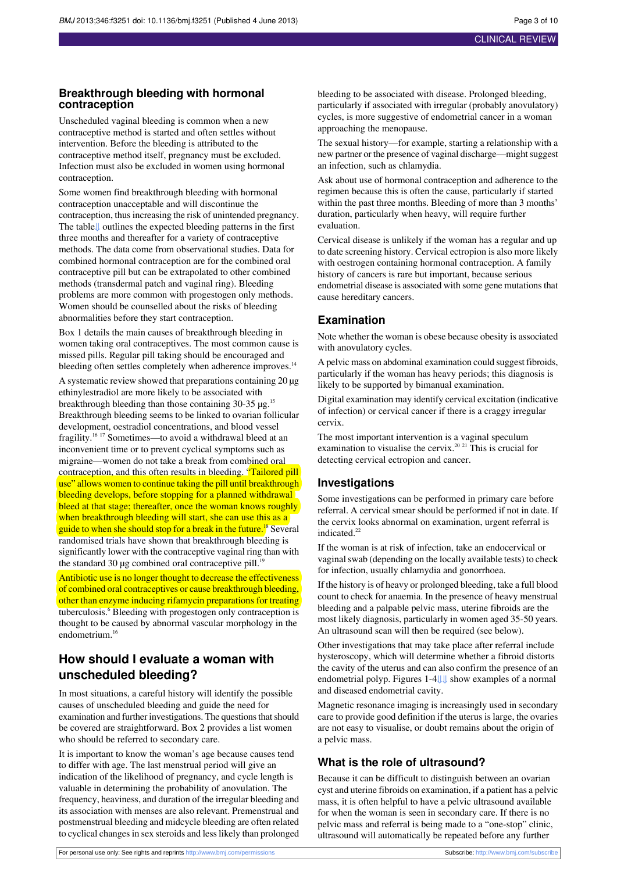## **Breakthrough bleeding with hormonal contraception**

Unscheduled vaginal bleeding is common when a new contraceptive method is started and often settles without intervention. Before the bleeding is attributed to the contraceptive method itself, pregnancy must be excluded. Infection must also be excluded in women using hormonal contraception.

Some women find breakthrough bleeding with hormonal contraception unacceptable and will discontinue the contraception, thus increasing the risk of unintended pregnancy. The table[⇓](#page-7-0) outlines the expected bleeding patterns in the first three months and thereafter for a variety of contraceptive methods. The data come from observational studies. Data for combined hormonal contraception are for the combined oral contraceptive pill but can be extrapolated to other combined methods (transdermal patch and vaginal ring). Bleeding problems are more common with progestogen only methods. Women should be counselled about the risks of bleeding abnormalities before they start contraception.

Box 1 details the main causes of breakthrough bleeding in women taking oral contraceptives. The most common cause is missed pills. Regular pill taking should be encouraged and bleeding often settles completely when adherence improves.<sup>14</sup>

A systematic review showed that preparations containing 20 µg ethinylestradiol are more likely to be associated with breakthrough bleeding than those containing 30-35 µg.<sup>15</sup> Breakthrough bleeding seems to be linked to ovarian follicular development, oestradiol concentrations, and blood vessel fragility.<sup>16</sup> <sup>17</sup> Sometimes—to avoid a withdrawal bleed at an inconvenient time or to prevent cyclical symptoms such as migraine—women do not take a break from combined oral contraception, and this often results in bleeding. "Tailored pill use" allows women to continue taking the pill until breakthrough bleeding develops, before stopping for a planned withdrawal bleed at that stage; thereafter, once the woman knows roughly when breakthrough bleeding will start, she can use this as a guide to when she should stop for a break in the future.<sup>18</sup> Several randomised trials have shown that breakthrough bleeding is significantly lower with the contraceptive vaginal ring than with the standard 30  $\mu$ g combined oral contraceptive pill.<sup>19</sup>

Antibiotic use is no longer thought to decrease the effectiveness of combined oral contraceptives or cause breakthrough bleeding, other than enzyme inducing rifamycin preparations for treating tuberculosis.<sup>6</sup> Bleeding with progestogen only contraception is thought to be caused by abnormal vascular morphology in the endometrium.<sup>16</sup>

## **How should I evaluate a woman with unscheduled bleeding?**

In most situations, a careful history will identify the possible causes of unscheduled bleeding and guide the need for examination and further investigations. The questions that should be covered are straightforward. Box 2 provides a list women who should be referred to secondary care.

It is important to know the woman's age because causes tend to differ with age. The last menstrual period will give an indication of the likelihood of pregnancy, and cycle length is valuable in determining the probability of anovulation. The frequency, heaviness, and duration of the irregular bleeding and its association with menses are also relevant. Premenstrual and postmenstrual bleeding and midcycle bleeding are often related to cyclical changes in sex steroids and less likely than prolonged

bleeding to be associated with disease. Prolonged bleeding, particularly if associated with irregular (probably anovulatory) cycles, is more suggestive of endometrial cancer in a woman approaching the menopause.

The sexual history—for example, starting a relationship with a new partner or the presence of vaginal discharge—might suggest an infection, such as chlamydia.

Ask about use of hormonal contraception and adherence to the regimen because this is often the cause, particularly if started within the past three months. Bleeding of more than 3 months' duration, particularly when heavy, will require further evaluation.

Cervical disease is unlikely if the woman has a regular and up to date screening history. Cervical ectropion is also more likely with oestrogen containing hormonal contraception. A family history of cancers is rare but important, because serious endometrial disease is associated with some gene mutations that cause hereditary cancers.

## **Examination**

Note whether the woman is obese because obesity is associated with anovulatory cycles.

A pelvic mass on abdominal examination could suggest fibroids, particularly if the woman has heavy periods; this diagnosis is likely to be supported by bimanual examination.

Digital examination may identify cervical excitation (indicative of infection) or cervical cancer if there is a craggy irregular cervix.

The most important intervention is a vaginal speculum examination to visualise the cervix.<sup>20 21</sup> This is crucial for detecting cervical ectropion and cancer.

## **Investigations**

Some investigations can be performed in primary care before referral. A cervical smear should be performed if not in date. If the cervix looks abnormal on examination, urgent referral is indicated.<sup>22</sup>

If the woman is at risk of infection, take an endocervical or vaginal swab (depending on the locally available tests) to check for infection, usually chlamydia and gonorrhoea.

If the history is of heavy or prolonged bleeding, take a full blood count to check for anaemia. In the presence of heavy menstrual bleeding and a palpable pelvic mass, uterine fibroids are the most likely diagnosis, particularly in women aged 35-50 years. An ultrasound scan will then be required (see below).

Other investigations that may take place after referral include hysteroscopy, which will determine whether a fibroid distorts the cavity of the uterus and can also confirm the presence of an endometrial polyp. Figures 1-4[⇓](#page-9-0)[⇓](#page-9-1) show examples of a normal and diseased endometrial cavity.

Magnetic resonance imaging is increasingly used in secondary care to provide good definition if the uterus is large, the ovaries are not easy to visualise, or doubt remains about the origin of a pelvic mass.

## **What is the role of ultrasound?**

Because it can be difficult to distinguish between an ovarian cyst and uterine fibroids on examination, if a patient has a pelvic mass, it is often helpful to have a pelvic ultrasound available for when the woman is seen in secondary care. If there is no pelvic mass and referral is being made to a "one-stop" clinic, ultrasound will automatically be repeated before any further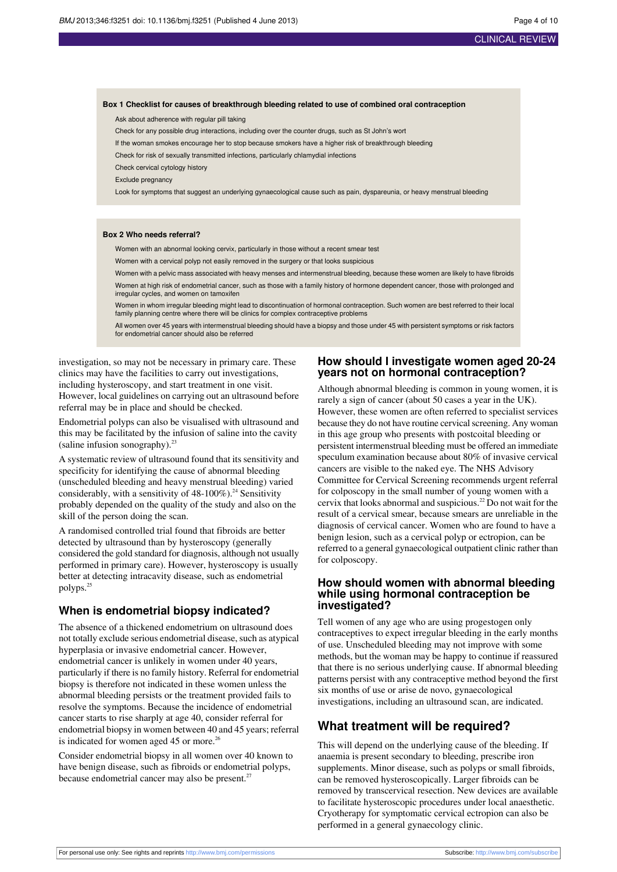#### **Box 1 Checklist for causes of breakthrough bleeding related to use of combined oral contraception**

Ask about adherence with regular pill taking

- Check for any possible drug interactions, including over the counter drugs, such as St John's wort
- If the woman smokes encourage her to stop because smokers have a higher risk of breakthrough bleeding

Check for risk of sexually transmitted infections, particularly chlamydial infections

Check cervical cytology history

Exclude pregnancy

Look for symptoms that suggest an underlying gynaecological cause such as pain, dyspareunia, or heavy menstrual bleeding

#### **Box 2 Who needs referral?**

Women with an abnormal looking cervix, particularly in those without a recent smear test

Women with a cervical polyp not easily removed in the surgery or that looks suspicious

Women with a pelvic mass associated with heavy menses and intermenstrual bleeding, because these women are likely to have fibroids Women at high risk of endometrial cancer, such as those with a family history of hormone dependent cancer, those with prolonged and irregular cycles, and women on tamoxifen

Women in whom irregular bleeding might lead to discontinuation of hormonal contraception. Such women are best referred to their local family planning centre where there will be clinics for complex contraceptive problems

All women over 45 years with intermenstrual bleeding should have a biopsy and those under 45 with persistent symptoms or risk factors for endometrial cancer should also be referred

investigation, so may not be necessary in primary care. These clinics may have the facilities to carry out investigations, including hysteroscopy, and start treatment in one visit. However, local guidelines on carrying out an ultrasound before referral may be in place and should be checked.

Endometrial polyps can also be visualised with ultrasound and this may be facilitated by the infusion of saline into the cavity (saline infusion sonography). $^{23}$ 

A systematic review of ultrasound found that its sensitivity and specificity for identifying the cause of abnormal bleeding (unscheduled bleeding and heavy menstrual bleeding) varied considerably, with a sensitivity of  $48-100\%$ ).<sup>24</sup> Sensitivity probably depended on the quality of the study and also on the skill of the person doing the scan.

A randomised controlled trial found that fibroids are better detected by ultrasound than by hysteroscopy (generally considered the gold standard for diagnosis, although not usually performed in primary care). However, hysteroscopy is usually better at detecting intracavity disease, such as endometrial polyps.<sup>25</sup>

### **When is endometrial biopsy indicated?**

The absence of a thickened endometrium on ultrasound does not totally exclude serious endometrial disease, such as atypical hyperplasia or invasive endometrial cancer. However, endometrial cancer is unlikely in women under 40 years, particularly if there is no family history. Referral for endometrial biopsy is therefore not indicated in these women unless the abnormal bleeding persists or the treatment provided fails to resolve the symptoms. Because the incidence of endometrial cancer starts to rise sharply at age 40, consider referral for endometrial biopsy in women between 40 and 45 years; referral is indicated for women aged 45 or more.<sup>26</sup>

Consider endometrial biopsy in all women over 40 known to have benign disease, such as fibroids or endometrial polyps, because endometrial cancer may also be present.<sup>27</sup>

## **How should I investigate women aged 20-24 years not on hormonal contraception?**

Although abnormal bleeding is common in young women, it is rarely a sign of cancer (about 50 cases a year in the UK). However, these women are often referred to specialist services because they do not have routine cervical screening. Any woman in this age group who presents with postcoital bleeding or persistent intermenstrual bleeding must be offered an immediate speculum examination because about 80% of invasive cervical cancers are visible to the naked eye. The NHS Advisory Committee for Cervical Screening recommends urgent referral for colposcopy in the small number of young women with a cervix that looks abnormal and suspicious.<sup>22</sup> Do not wait for the result of a cervical smear, because smears are unreliable in the diagnosis of cervical cancer. Women who are found to have a benign lesion, such as a cervical polyp or ectropion, can be referred to a general gynaecological outpatient clinic rather than for colposcopy.

### **How should women with abnormal bleeding while using hormonal contraception be investigated?**

Tell women of any age who are using progestogen only contraceptives to expect irregular bleeding in the early months of use. Unscheduled bleeding may not improve with some methods, but the woman may be happy to continue if reassured that there is no serious underlying cause. If abnormal bleeding patterns persist with any contraceptive method beyond the first six months of use or arise de novo, gynaecological investigations, including an ultrasound scan, are indicated.

## **What treatment will be required?**

This will depend on the underlying cause of the bleeding. If anaemia is present secondary to bleeding, prescribe iron supplements. Minor disease, such as polyps or small fibroids, can be removed hysteroscopically. Larger fibroids can be removed by transcervical resection. New devices are available to facilitate hysteroscopic procedures under local anaesthetic. Cryotherapy for symptomatic cervical ectropion can also be performed in a general gynaecology clinic.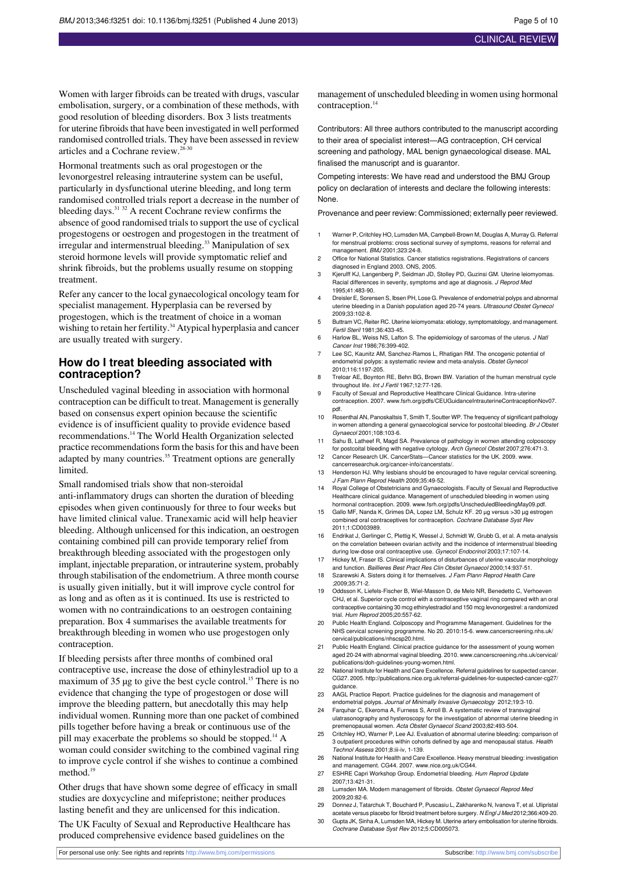Women with larger fibroids can be treated with drugs, vascular embolisation, surgery, or a combination of these methods, with good resolution of bleeding disorders. Box 3 lists treatments for uterine fibroids that have been investigated in well performed randomised controlled trials. They have been assessed in review articles and a Cochrane review.28-30

Hormonal treatments such as oral progestogen or the levonorgestrel releasing intrauterine system can be useful, particularly in dysfunctional uterine bleeding, and long term randomised controlled trials report a decrease in the number of bleeding days.<sup>31 32</sup> A recent Cochrane review confirms the absence of good randomised trials to support the use of cyclical progestogens or oestrogen and progestogen in the treatment of irregular and intermenstrual bleeding.<sup>33</sup> Manipulation of sex steroid hormone levels will provide symptomatic relief and shrink fibroids, but the problems usually resume on stopping treatment.

Refer any cancer to the local gynaecological oncology team for specialist management. Hyperplasia can be reversed by progestogen, which is the treatment of choice in a woman wishing to retain her fertility.<sup>34</sup> Atypical hyperplasia and cancer are usually treated with surgery.

## **How do I treat bleeding associated with contraception?**

Unscheduled vaginal bleeding in association with hormonal contraception can be difficult to treat. Management is generally based on consensus expert opinion because the scientific evidence is of insufficient quality to provide evidence based recommendations.<sup>14</sup> The World Health Organization selected practice recommendations form the basis for this and have been adapted by many countries.<sup>35</sup> Treatment options are generally limited.

Small randomised trials show that non-steroidal anti-inflammatory drugs can shorten the duration of bleeding episodes when given continuously for three to four weeks but have limited clinical value. Tranexamic acid will help heavier bleeding. Although unlicensed for this indication, an oestrogen containing combined pill can provide temporary relief from breakthrough bleeding associated with the progestogen only implant, injectable preparation, or intrauterine system, probably through stabilisation of the endometrium. A three month course is usually given initially, but it will improve cycle control for as long and as often as it is continued. Its use is restricted to women with no contraindications to an oestrogen containing preparation. Box 4 summarises the available treatments for breakthrough bleeding in women who use progestogen only contraception.

If bleeding persists after three months of combined oral contraceptive use, increase the dose of ethinylestradiol up to a maximum of 35 µg to give the best cycle control.<sup>15</sup> There is no evidence that changing the type of progestogen or dose will improve the bleeding pattern, but anecdotally this may help individual women. Running more than one packet of combined pills together before having a break or continuous use of the pill may exacerbate the problems so should be stopped.<sup>14</sup> A woman could consider switching to the combined vaginal ring to improve cycle control if she wishes to continue a combined method.<sup>19</sup>

Other drugs that have shown some degree of efficacy in small studies are doxycycline and mifepristone; neither produces lasting benefit and they are unlicensed for this indication.

The UK Faculty of Sexual and Reproductive Healthcare has produced comprehensive evidence based guidelines on the

management of unscheduled bleeding in women using hormonal contraception.<sup>14</sup>

Contributors: All three authors contributed to the manuscript according to their area of specialist interest—AG contraception, CH cervical screening and pathology, MAL benign gynaecological disease. MAL finalised the manuscript and is guarantor.

Competing interests: We have read and understood the BMJ Group policy on declaration of interests and declare the following interests: None.

Provenance and peer review: Commissioned; externally peer reviewed.

- 1 Warner P, Critchley HO, Lumsden MA, Campbell-Brown M, Douglas A, Murray G. Referral for menstrual problems: cross sectional survey of symptoms, reasons for referral and management. BMJ 2001;323:24-8.
- 2 Office for National Statistics. Cancer statistics registrations. Registrations of cancers diagnosed in England 2003. ONS, 2005.
- 3 Kjerulff KJ, Langenberg P, Seidman JD, Stolley PD, Guzinsi GM. Uterine leiomyomas. Racial differences in severity, symptoms and age at diagnosis. J Reprod Med 1995;41:483-90.
- 4 Dreisler E, Sorensen S, Ibsen PH, Lose G. Prevalence of endometrial polyps and abnormal uterine bleeding in a Danish population aged 20-74 years. Ultrasound Obstet Gynecol 2009;33:102-8.
- 5 Buttram VC, Reiter RC. Uterine leiomyomata: etiology, symptomatology, and management. Fertil Steril 1981;36:433-45.
- 6 Harlow BL, Weiss NS, Lafton S. The epidemiology of sarcomas of the uterus. J Natl Cancer Inst 1986;76:399-402.
- 7 Lee SC, Kaunitz AM, Sanchez-Ramos L, Rhatigan RM. The oncogenic potential of endometrial polyps: a systematic review and meta-analysis. Obstet Gynecol 2010;116:1197-205.
- Treloar AE, Boynton RE, Behn BG, Brown BW. Variation of the human menstrual cycle throughout life. Int J Fertil 1967;12:77-126.
- 9 Faculty of Sexual and Reproductive Healthcare Clinical Guidance. Intra-uterine contraception. 2007. [www.fsrh.org/pdfs/CEUGuidanceIntrauterineContraceptionNov07.](http://www.fsrh.org/pdfs/CEUGuidanceIntrauterineContraceptionNov07.pdf)
- [pdf.](http://www.fsrh.org/pdfs/CEUGuidanceIntrauterineContraceptionNov07.pdf) 10 Rosenthal AN, Panoskaltsis T, Smith T, Soutter WP. The frequency of significant pathology in women attending a general gynaecological service for postcoital bleeding. Br J Obstet Gynaecol 2001;108:103-6.
- 11 Sahu B, Latheef R, Magd SA. Prevalence of pathology in women attending colposcopy for postcoital bleeding with negative cytology. Arch Gynecol Obstet 2007;276:471-3.
- 12 Cancer Research UK. CancerStats—Cancer statistics for the UK. 2009. [www.](http://www.cancerresearchuk.org/cancer-info/cancerstats/) [cancerresearchuk.org/cancer-info/cancerstats/](http://www.cancerresearchuk.org/cancer-info/cancerstats/).
- 13 Henderson HJ. Why lesbians should be encouraged to have regular cervical screening. J Fam Plann Reprod Health 2009;35:49-52.
- 14 Royal College of Obstetricians and Gynaecologists. Faculty of Sexual and Reproductive Healthcare clinical guidance. Management of unscheduled bleeding in women using hormonal contraception. 2009. [www.fsrh.org/pdfs/UnscheduledBleedingMay09.pdf.](http://www.fsrh.org/pdfs/UnscheduledBleedingMay09.pdf)
- 15 Gallo MF, Nanda K, Grimes DA, Lopez LM, Schulz KF. 20 µg versus >30 µg estrogen combined oral contraceptives for contraception. Cochrane Database Syst Rev 2011;1:CD003989.
- 16 Endrikat J, Gerlinger C, Plettig K, Wessel J, Schmidt W, Grubb G, et al. A meta-analysis on the correlation between ovarian activity and the incidence of intermenstrual bleeding during low-dose oral contraceptive use. Gynecol Endocrinol 2003;17:107-14.
- 17 Hickey M, Fraser IS. Clinical implications of disturbances of uterine vascular morphology and function. Baillieres Best Pract Res Clin Obstet Gynaecol 2000;14:937-51.
- 18 Szarewski A. Sisters doing it for themselves. J Fam Plann Reprod Health Care ;2009;35:71-2.
- 19 Oddsson K, Liefels-Fischer B, Wiel-Masson D, de Melo NR, Benedetto C, Verhoeven CHJ, et al. Superior cycle control with a contraceptive vaginal ring compared with an oral contraceptive containing 30 mcg ethinylestradiol and 150 mcg levonorgestrel: a randomized trial. Hum Reprod 2005;20:557-62.
- 20 Public Health England. Colposcopy and Programme Management. Guidelines for the NHS cervical screening programme. No 20. 2010:15-6. [www.cancerscreening.nhs.uk/](http://www.cancerscreening.nhs.uk/cervical/publications/nhscsp20.html) [cervical/publications/nhscsp20.html.](http://www.cancerscreening.nhs.uk/cervical/publications/nhscsp20.html)
- 21 Public Health England. Clinical practice guidance for the assessment of young women aged 20-24 with abnormal vaginal bleeding. 2010. [www.cancerscreening.nhs.uk/cervical/](http://www.cancerscreening.nhs.uk/cervical/publications/doh-guidelines-young-women.html) [publications/doh-guidelines-young-women.html](http://www.cancerscreening.nhs.uk/cervical/publications/doh-guidelines-young-women.html).
- 22 National Institute for Health and Care Excellence. Referral guidelines for suspected cancer CG27. 2005. [http://publications.nice.org.uk/referral-guidelines-for-suspected-cancer-cg27/](http://publications.nice.org.uk/referral-guidelines-for-suspected-cancer-cg27/guidance) [guidance.](http://publications.nice.org.uk/referral-guidelines-for-suspected-cancer-cg27/guidance)
- 23 AAGL Practice Report. Practice guidelines for the diagnosis and management of
- endometrial polyps. *Journal of Minimally Invasive Gynaecology* 2012;19:3-10.<br>24 Farquhar C, Ekeroma A, Furness S, Arroll B. A systematic review of transvaginal ulatrasonography and hysteroscopy for the investigation of abnormal uterine bleeding in premenopausal women. Acta Obstet Gynaecol Scand 2003;82:493-504.
- 25 Critchley HO, Warner P, Lee AJ. Evaluation of abnormal uterine bleeding: comparison of 3 outpatient procedures within cohorts defined by age and menopausal status. Health Technol Assess 2001;8:iii-iv, 1-139.
- 26 National Institute for Health and Care Excellence. Heavy menstrual bleeding: investigation and management. CG44. 2007. [www.nice.org.uk/CG44.](http://www.nice.org.uk/CG44)
- 27 ESHRE Capri Workshop Group. Endometrial bleeding. Hum Reprod Update 2007;13:421-31.
- 28 Lumsden MA. Modern management of fibroids. Obstet Gynaecol Reprod Med 2009;20:82-6.
- 29 Donnez J, Tatarchuk T, Bouchard P, Puscasiu L, Zakharenko N, Ivanova T, et al. Ulipristal acetate versus placebo for fibroid treatment before surgery. N Engl J Med 2012;366:409-20.
- 30 Gupta JK, Sinha A, Lumsden MA, Hickey M. Uterine artery embolisation for uterine fibroids. Cochrane Database Syst Rev 2012;5:CD005073.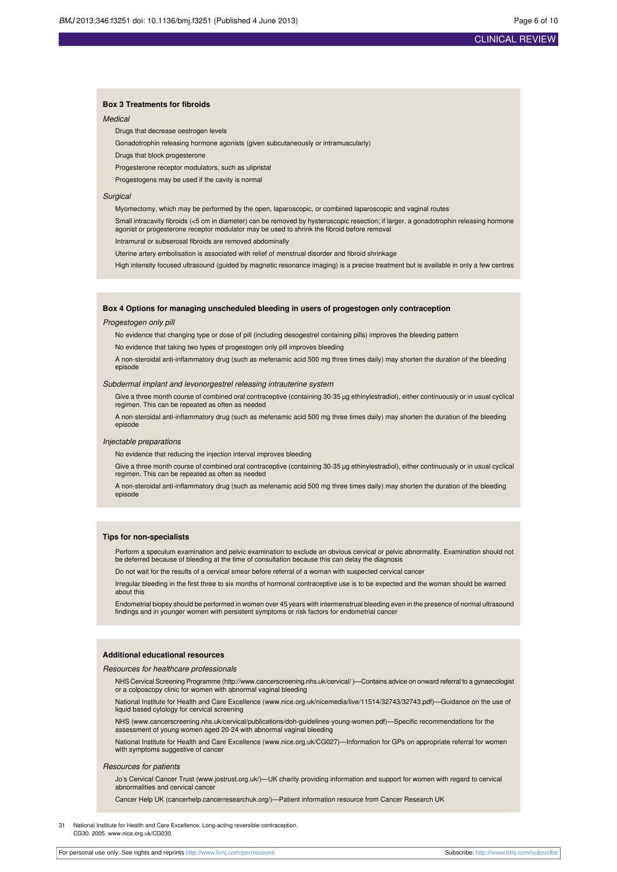#### **Box 3 Treatments for fibroids**

#### **Medical**

Drugs that decrease oestrogen levels

Gonadotrophin releasing hormone agonists (given subcutaneously or intramuscularly)

Drugs that block progesterone

Progesterone receptor modulators, such as ulipristal

Progestogens may be used if the cavity is normal

#### **Surgical**

Myomectomy, which may be performed by the open, laparoscopic, or combined laparoscopic and vaginal routes

Small intracavity fibroids (<5 cm in diameter) can be removed by hysteroscopic resection; if larger, a gonadotrophin releasing hormone agonist or progesterone receptor modulator may be used to shrink the fibroid before removal

Intramural or subserosal fibroids are removed abdominally

Uterine artery embolisation is associated with relief of menstrual disorder and fibroid shrinkage

High intensity focused ultrasound (guided by magnetic resonance imaging) is a precise treatment but is available in only a few centres

#### **Box 4 Options for managing unscheduled bleeding in users of progestogen only contraception**

#### Progestogen only pill

No evidence that changing type or dose of pill (including desogestrel containing pills) improves the bleeding pattern

No evidence that taking two types of progestogen only pill improves bleeding

A non-steroidal anti-inflammatory drug (such as mefenamic acid 500 mg three times daily) may shorten the duration of the bleeding episode

#### Subdermal implant and levonorgestrel releasing intrauterine system

Give a three month course of combined oral contraceptive (containing 30-35 µg ethinylestradiol), either continuously or in usual cyclical regimen. This can be repeated as often as needed

A non-steroidal anti-inflammatory drug (such as mefenamic acid 500 mg three times daily) may shorten the duration of the bleeding episode

#### Injectable preparations

No evidence that reducing the injection interval improves bleeding

Give a three month course of combined oral contraceptive (containing 30-35 µg ethinylestradiol), either continuously or in usual cyclical regimen. This can be repeated as often as needed

A non-steroidal anti-inflammatory drug (such as mefenamic acid 500 mg three times daily) may shorten the duration of the bleeding episode

#### **Tips for non-specialists**

Perform a speculum examination and pelvic examination to exclude an obvious cervical or pelvic abnormality. Examination should not be deferred because of bleeding at the time of consultation because this can delay the diagnosis

Do not wait for the results of a cervical smear before referral of a woman with suspected cervical cancer

Irregular bleeding in the first three to six months of hormonal contraceptive use is to be expected and the woman should be warned about this

Endometrial biopsy should be performed in women over 45 years with intermenstrual bleeding even in the presence of normal ultrasound findings and in younger women with persistent symptoms or risk factors for endometrial cancer

#### **Additional educational resources**

#### Resources for healthcare professionals

NHS Cervical Screening Programme [\(http://www.cancerscreening.nhs.uk/cervical/](http://www.cancerscreening.nhs.uk/cervical/) )—Contains advice on onward referral to a gynaecologist<br>or a colposcopy clinic for women with abnormal vaginal bleeding

National Institute for Health and Care Excellence ([www.nice.org.uk/nicemedia/live/11514/32743/32743.pdf\)](http://www.nice.org.uk/nicemedia/live/11514/32743/32743.pdf)—Guidance on the use of liquid based cytology for cervical screening

NHS ([www.cancerscreening.nhs.uk/cervical/publications/doh-guidelines-young-women.pdf\)](http://www.cancerscreening.nhs.uk/cervical/publications/doh-guidelines-young-women.pdf)—Specific recommendations for the assessment of young women aged 20-24 with abnormal vaginal bleeding

National Institute for Health and Care Excellence ([www.nice.org.uk/CG027\)](http://www.nice.org.uk/CG027)—Information for GPs on appropriate referral for women with symptoms suggestive of cancer

#### Resources for patients

Jo's Cervical Cancer Trust ([www.jostrust.org.uk/](http://www.jostrust.org.uk/))—UK charity providing information and support for women with regard to cervical abnormalities and cervical cance

Cancer Help UK (cancerhelp.cancerresearchuk.org/)—Patient information resource from Cancer Research UK

National Institute for Health and Care Excellence. Long-acting reversible contraception. CG30. 2005. [www.nice.org.uk/CG030.](http://www.nice.org.uk/CG030)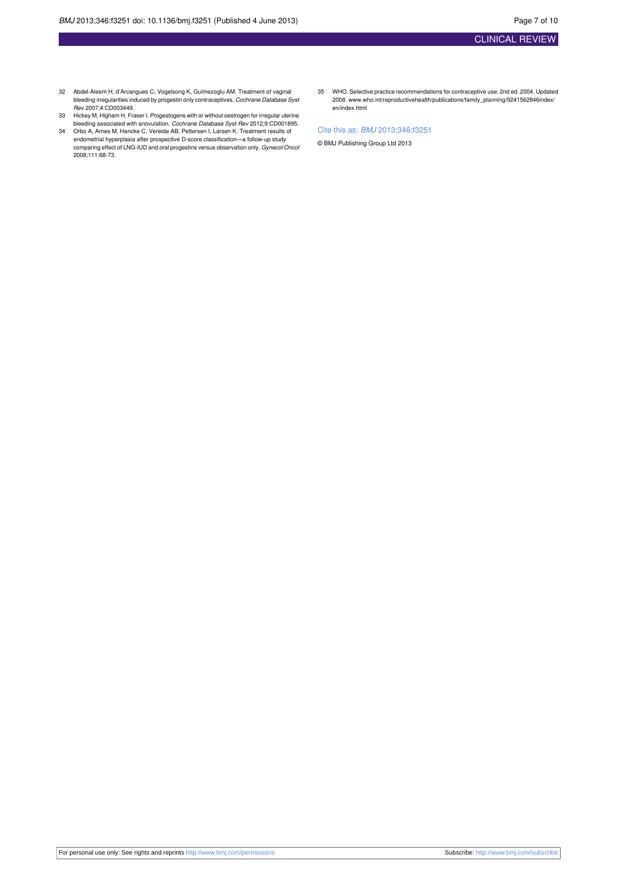- 32 Abdel-Aleem H, d'Arcangues C, Vogelsong K, Gulmezoglu AM. Treatment of vaginal bleeding irregularities induced by progestin only contraceptives. Cochrane Database Syst Rev 2007;4:CD003449.
- 33 Hickey M, Higham H, Fraser I. Progestogens with or without oestrogen for irregular uterine bleeding associated with anovulation. Cochrane Database Syst Rev 2012;9:CD001895. 34 Orbo A, Arnes M, Hancke C, Vereide AB, Pettersen I, Larsen K. Treatment results of
- endometrial hyperplasia after prospective D-score classification—a follow-up study comparing effect of LNG-IUD and oral progestins versus observation only. Gynecol Oncol 2008;111:68-73.
- 35 WHO. Selective practice recommendations for contraceptive use. 2nd ed. 2004. Updated 2008. [www.who.int/reproductivehealth/publications/family\\_planning/9241562846index/](http://www.who.int/reproductivehealth/publications/family_planning/9241562846index/en/index.html) [en/index.html](http://www.who.int/reproductivehealth/publications/family_planning/9241562846index/en/index.html)

#### Cite this as: BMJ 2013;346:f3251

© BMJ Publishing Group Ltd 2013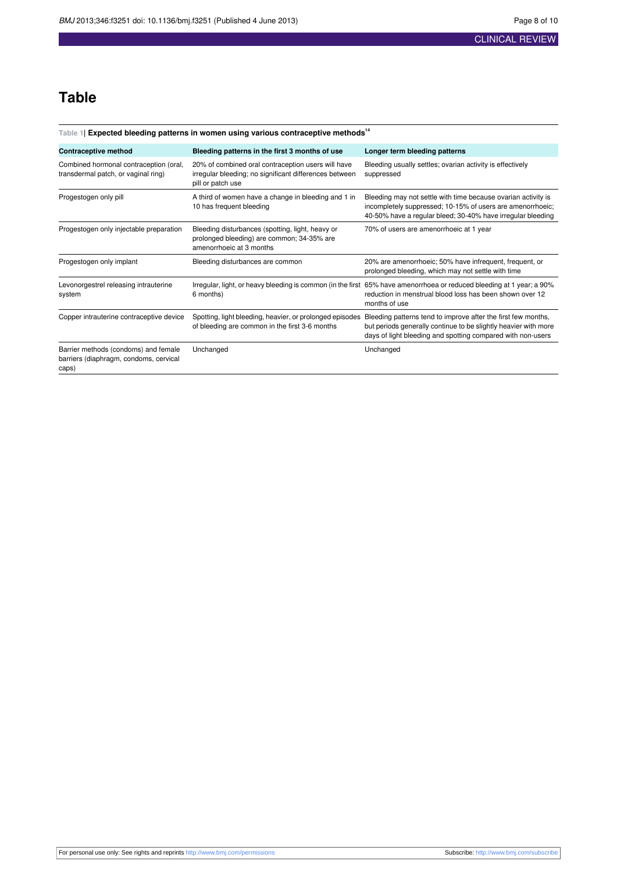## **Table**

<span id="page-7-0"></span>

| Table 1 Expected bleeding patterns in women using various contraceptive methods <sup>14</sup> |                                                                                                                                   |                                                                                                                                                                                                 |
|-----------------------------------------------------------------------------------------------|-----------------------------------------------------------------------------------------------------------------------------------|-------------------------------------------------------------------------------------------------------------------------------------------------------------------------------------------------|
| Contraceptive method                                                                          | Bleeding patterns in the first 3 months of use                                                                                    | Longer term bleeding patterns                                                                                                                                                                   |
| Combined hormonal contraception (oral,<br>transdermal patch, or vaginal ring)                 | 20% of combined oral contraception users will have<br>irregular bleeding; no significant differences between<br>pill or patch use | Bleeding usually settles; ovarian activity is effectively<br>suppressed                                                                                                                         |
| Progestogen only pill                                                                         | A third of women have a change in bleeding and 1 in<br>10 has frequent bleeding                                                   | Bleeding may not settle with time because ovarian activity is<br>incompletely suppressed; 10-15% of users are amenorrhoeic;<br>40-50% have a regular bleed; 30-40% have irregular bleeding      |
| Progestogen only injectable preparation                                                       | Bleeding disturbances (spotting, light, heavy or<br>prolonged bleeding) are common; 34-35% are<br>amenorrhoeic at 3 months        | 70% of users are amenorrhoeic at 1 year                                                                                                                                                         |
| Progestogen only implant                                                                      | Bleeding disturbances are common                                                                                                  | 20% are amenorrhoeic; 50% have infrequent, frequent, or<br>prolonged bleeding, which may not settle with time                                                                                   |
| Levonorgestrel releasing intrauterine<br>system                                               | Irregular, light, or heavy bleeding is common (in the first<br>6 months)                                                          | 65% have amenorrhoea or reduced bleeding at 1 year; a 90%<br>reduction in menstrual blood loss has been shown over 12<br>months of use                                                          |
| Copper intrauterine contraceptive device                                                      | Spotting, light bleeding, heavier, or prolonged episodes<br>of bleeding are common in the first 3-6 months                        | Bleeding patterns tend to improve after the first few months,<br>but periods generally continue to be slightly heavier with more<br>days of light bleeding and spotting compared with non-users |
| Barrier methods (condoms) and female<br>barriers (diaphragm, condoms, cervical<br>caps)       | Unchanged                                                                                                                         | Unchanged                                                                                                                                                                                       |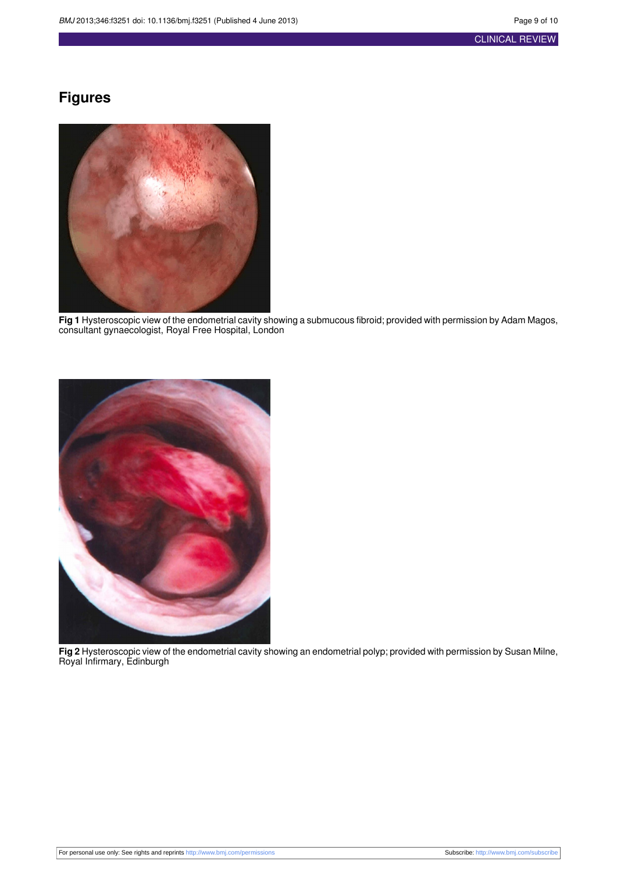## **Figures**

<span id="page-8-0"></span>

**Fig 1** Hysteroscopic view of the endometrial cavity showing a submucous fibroid; provided with permission by Adam Magos, consultant gynaecologist, Royal Free Hospital, London

<span id="page-8-1"></span>

**Fig 2** Hysteroscopic view of the endometrial cavity showing an endometrial polyp; provided with permission by Susan Milne, Royal Infirmary, Edinburgh